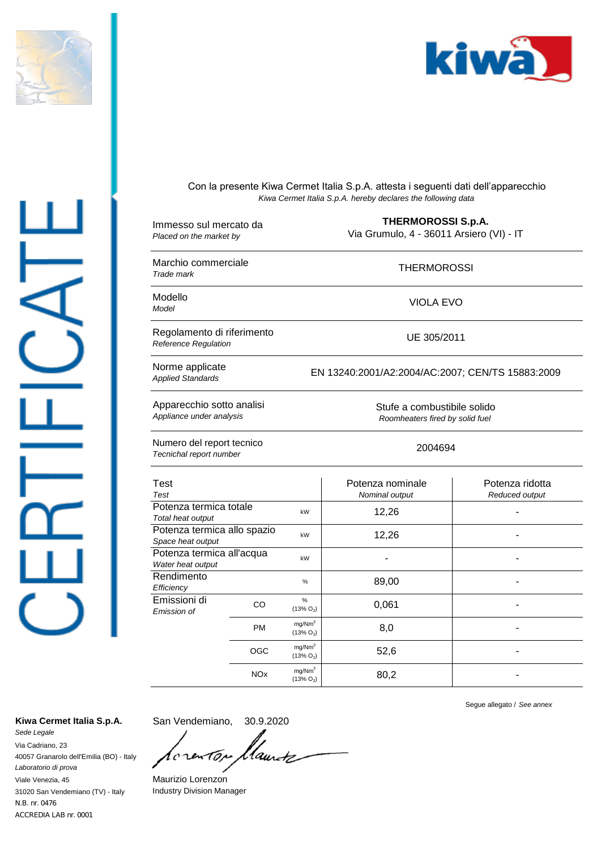

 $\perp$ 



Con la presente Kiwa Cermet Italia S.p.A. attesta i seguenti dati dell'apparecchio *Kiwa Cermet Italia S.p.A. hereby declares the following data*

| Immesso sul mercato da<br>Placed on the market by     |            | <b>THERMOROSSI S.p.A.</b><br>Via Grumulo, 4 - 36011 Arsiero (VI) - IT |                                    |                                   |  |
|-------------------------------------------------------|------------|-----------------------------------------------------------------------|------------------------------------|-----------------------------------|--|
| Marchio commerciale<br>Trade mark                     |            | <b>THERMOROSSI</b>                                                    |                                    |                                   |  |
| Modello<br>Model                                      |            | <b>VIOLA EVO</b>                                                      |                                    |                                   |  |
| Regolamento di riferimento<br>Reference Regulation    |            | UE 305/2011                                                           |                                    |                                   |  |
| Norme applicate<br><b>Applied Standards</b>           |            | EN 13240:2001/A2:2004/AC:2007; CEN/TS 15883:2009                      |                                    |                                   |  |
| Apparecchio sotto analisi<br>Appliance under analysis |            | Stufe a combustibile solido<br>Roomheaters fired by solid fuel        |                                    |                                   |  |
| Numero del report tecnico<br>Tecnichal report number  |            | 2004694                                                               |                                    |                                   |  |
| <b>Test</b><br>Test                                   |            |                                                                       | Potenza nominale<br>Nominal output | Potenza ridotta<br>Reduced output |  |
| Potenza termica totale<br>Total heat output           |            | kW                                                                    | 12,26                              |                                   |  |
| Potenza termica allo spazio<br>Space heat output      |            | kW                                                                    | 12,26                              |                                   |  |
| Potenza termica all'acqua<br>Water heat output        |            | kW                                                                    |                                    | ٠                                 |  |
| Rendimento<br>Efficiency                              |            | %                                                                     | 89,00                              |                                   |  |
| Emissioni di<br>Emission of                           | CO         | $\%$<br>$(13\% O_2)$                                                  | 0,061                              |                                   |  |
|                                                       | <b>PM</b>  | mg/Nm <sup>3</sup><br>$(13\% O_2)$                                    | 8,0                                |                                   |  |
|                                                       | OGC        | mg/Nm <sup>3</sup><br>$(13\% O_2)$                                    | 52,6                               |                                   |  |
|                                                       | <b>NOx</b> | mg/Nm <sup>3</sup><br>$(13\% O_2)$                                    | 80,2                               |                                   |  |

*Sede Legale* Kiwa Cermet Italia S.p.A. San Vendemiano, 30.9.2020

Via Cadriano, 23 40057 Granarolo dell'Emilia (BO) - Italy *Laboratorio di prova* Viale Venezia, 45 Maurizio Lorenzon 31020 San Vendemiano (TV) - Italy Industry Division Manager N.B. nr. 0476 ACCREDIA LAB nr. 0001

llaurtz 10, 1  $\mathfrak c$ rέ

Segue allegato / *See annex*